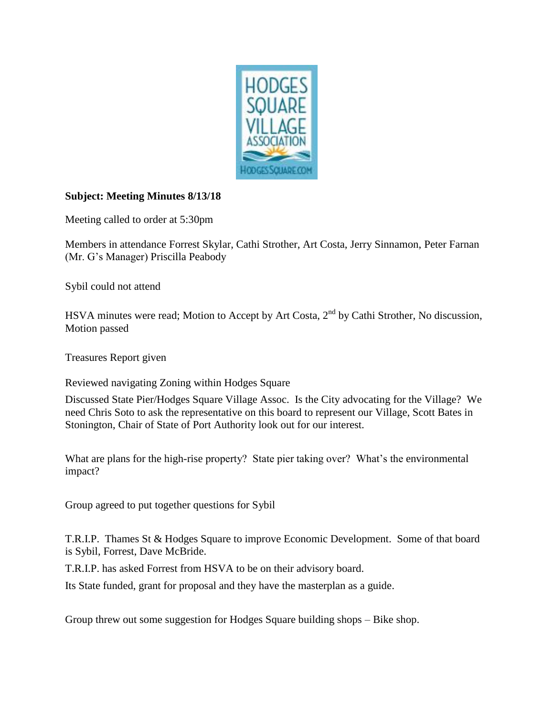

## **Subject: Meeting Minutes 8/13/18**

Meeting called to order at 5:30pm

Members in attendance Forrest Skylar, Cathi Strother, Art Costa, Jerry Sinnamon, Peter Farnan (Mr. G's Manager) Priscilla Peabody

Sybil could not attend

HSVA minutes were read; Motion to Accept by Art Costa, 2<sup>nd</sup> by Cathi Strother, No discussion, Motion passed

Treasures Report given

Reviewed navigating Zoning within Hodges Square

Discussed State Pier/Hodges Square Village Assoc. Is the City advocating for the Village? We need Chris Soto to ask the representative on this board to represent our Village, Scott Bates in Stonington, Chair of State of Port Authority look out for our interest.

What are plans for the high-rise property? State pier taking over? What's the environmental impact?

Group agreed to put together questions for Sybil

T.R.I.P. Thames St & Hodges Square to improve Economic Development. Some of that board is Sybil, Forrest, Dave McBride.

T.R.I.P. has asked Forrest from HSVA to be on their advisory board.

Its State funded, grant for proposal and they have the masterplan as a guide.

Group threw out some suggestion for Hodges Square building shops – Bike shop.